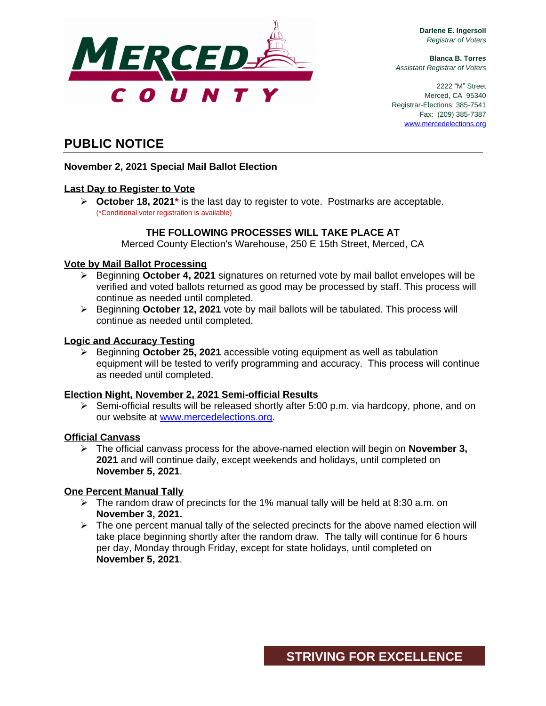

**Darlene E. Ingersoll** *Registrar of Voters*

**Blanca B. Torres** *Assistant Registrar of Voters*

2222 "M" Street Merced, CA 95340 Registrar-Elections: 385-7541 Fax: (209) 385-7387 [www.mercedelections.org](http://www.mercedelections.org)

# **PUBLIC NOTICE**

### **November 2, 2021 Special Mail Ballot Election**

# **Last Day to Register to Vote**

 **October 18, 2021\*** is the last day to register to vote. Postmarks are acceptable. (\*Conditional voter registration is available)

### **THE FOLLOWING PROCESSES WILL TAKE PLACE AT**

Merced County Election's Warehouse, 250 E 15th Street, Merced, CA

### **Vote by Mail Ballot Processing**

- Beginning **October 4, 2021** signatures on returned vote by mail ballot envelopes will be verified and voted ballots returned as good may be processed by staff. This process will continue as needed until completed.
- Beginning **October 12, 2021** vote by mail ballots will be tabulated. This process will continue as needed until completed.

### **Logic and Accuracy Testing**

 Beginning **October 25, 2021** accessible voting equipment as well as tabulation equipment will be tested to verify programming and accuracy. This process will continue as needed until completed.

### **Election Night, November 2, 2021 Semi-official Results**

 $\triangleright$  Semi-official results will be released shortly after 5:00 p.m. via hardcopy, phone, and on our website at [www.mercedelections.org](http://www.mercedelections.org).

### **Official Canvass**

 The official canvass process for the above-named election will begin on **November 3, 2021** and will continue daily, except weekends and holidays, until completed on **November 5, 2021**.

### **One Percent Manual Tally**

- $\triangleright$  The random draw of precincts for the 1% manual tally will be held at 8:30 a.m. on **November 3, 2021.**
- $\triangleright$  The one percent manual tally of the selected precincts for the above named election will take place beginning shortly after the random draw. The tally will continue for 6 hours per day, Monday through Friday, except for state holidays, until completed on **November 5, 2021**.